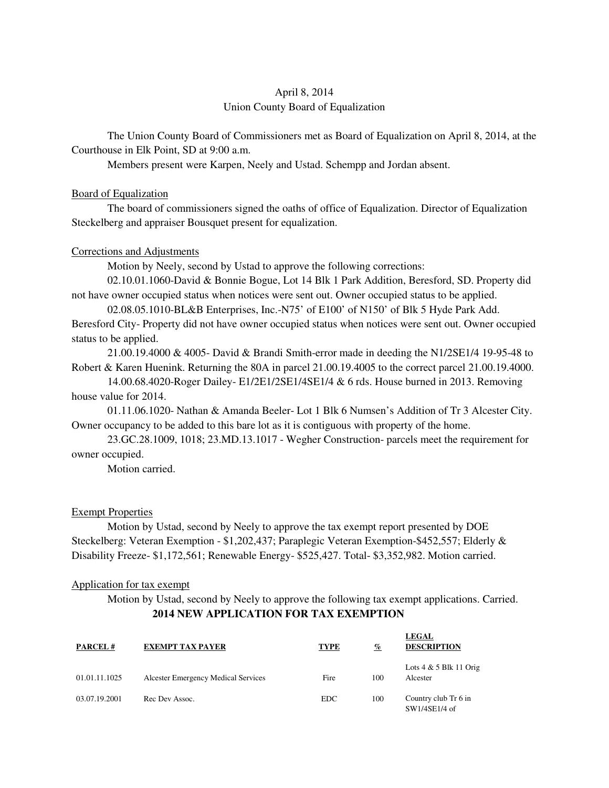# April 8, 2014 Union County Board of Equalization

The Union County Board of Commissioners met as Board of Equalization on April 8, 2014, at the Courthouse in Elk Point, SD at 9:00 a.m.

Members present were Karpen, Neely and Ustad. Schempp and Jordan absent.

### Board of Equalization

 The board of commissioners signed the oaths of office of Equalization. Director of Equalization Steckelberg and appraiser Bousquet present for equalization.

### Corrections and Adjustments

Motion by Neely, second by Ustad to approve the following corrections:

 02.10.01.1060-David & Bonnie Bogue, Lot 14 Blk 1 Park Addition, Beresford, SD. Property did not have owner occupied status when notices were sent out. Owner occupied status to be applied.

 02.08.05.1010-BL&B Enterprises, Inc.-N75' of E100' of N150' of Blk 5 Hyde Park Add. Beresford City- Property did not have owner occupied status when notices were sent out. Owner occupied status to be applied.

 21.00.19.4000 & 4005- David & Brandi Smith-error made in deeding the N1/2SE1/4 19-95-48 to Robert & Karen Huenink. Returning the 80A in parcel 21.00.19.4005 to the correct parcel 21.00.19.4000.

 14.00.68.4020-Roger Dailey- E1/2E1/2SE1/4SE1/4 & 6 rds. House burned in 2013. Removing house value for 2014.

 01.11.06.1020- Nathan & Amanda Beeler- Lot 1 Blk 6 Numsen's Addition of Tr 3 Alcester City. Owner occupancy to be added to this bare lot as it is contiguous with property of the home.

 23.GC.28.1009, 1018; 23.MD.13.1017 - Wegher Construction- parcels meet the requirement for owner occupied.

Motion carried.

### Exempt Properties

 Motion by Ustad, second by Neely to approve the tax exempt report presented by DOE Steckelberg: Veteran Exemption - \$1,202,437; Paraplegic Veteran Exemption-\$452,557; Elderly & Disability Freeze- \$1,172,561; Renewable Energy- \$525,427. Total- \$3,352,982. Motion carried.

### Application for tax exempt

 Motion by Ustad, second by Neely to approve the following tax exempt applications. Carried. **2014 NEW APPLICATION FOR TAX EXEMPTION** 

| <b>PARCEL#</b> | <b>EXEMPT TAX PAYER</b>             | <b>TYPE</b> | $\frac{q}{\ell}$ | <b>LEGAL</b><br><b>DESCRIPTION</b>    |
|----------------|-------------------------------------|-------------|------------------|---------------------------------------|
| 01.01.11.1025  | Alcester Emergency Medical Services | Fire        | 100              | Lots $4 & 5$ Blk 11 Orig<br>Alcester  |
| 03.07.19.2001  | Rec Dev Assoc.                      | EDC.        | 100              | Country club Tr 6 in<br>SW1/4SE1/4 of |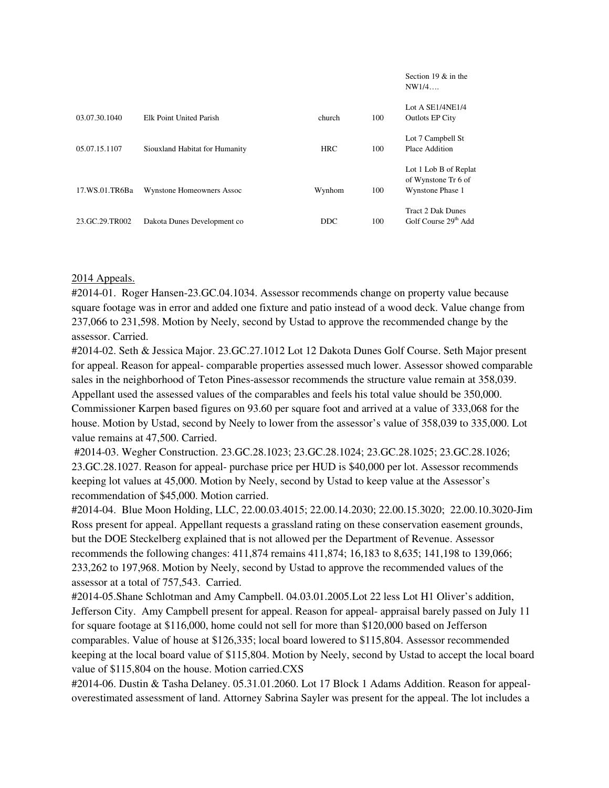|                |                                |            |     | Section 19 $&$ in the<br>NW1/4                                   |
|----------------|--------------------------------|------------|-----|------------------------------------------------------------------|
| 03.07.30.1040  | Elk Point United Parish        | church     | 100 | Lot A $SE1/4NE1/4$<br><b>Outlots EP City</b>                     |
| 05.07.15.1107  | Siouxland Habitat for Humanity | <b>HRC</b> | 100 | Lot 7 Campbell St<br>Place Addition                              |
| 17.WS.01.TR6Ba | Wynstone Homeowners Assoc      | Wynhom     | 100 | Lot 1 Lob B of Replat<br>of Wynstone Tr 6 of<br>Wynstone Phase 1 |
| 23.GC.29.TR002 | Dakota Dunes Development co    | <b>DDC</b> | 100 | <b>Tract 2 Dak Dunes</b><br>Golf Course 29th Add                 |

## 2014 Appeals.

#2014-01. Roger Hansen-23.GC.04.1034. Assessor recommends change on property value because square footage was in error and added one fixture and patio instead of a wood deck. Value change from 237,066 to 231,598. Motion by Neely, second by Ustad to approve the recommended change by the assessor. Carried.

#2014-02. Seth & Jessica Major. 23.GC.27.1012 Lot 12 Dakota Dunes Golf Course. Seth Major present for appeal. Reason for appeal- comparable properties assessed much lower. Assessor showed comparable sales in the neighborhood of Teton Pines-assessor recommends the structure value remain at 358,039. Appellant used the assessed values of the comparables and feels his total value should be 350,000. Commissioner Karpen based figures on 93.60 per square foot and arrived at a value of 333,068 for the house. Motion by Ustad, second by Neely to lower from the assessor's value of 358,039 to 335,000. Lot value remains at 47,500. Carried.

 #2014-03. Wegher Construction. 23.GC.28.1023; 23.GC.28.1024; 23.GC.28.1025; 23.GC.28.1026; 23.GC.28.1027. Reason for appeal- purchase price per HUD is \$40,000 per lot. Assessor recommends keeping lot values at 45,000. Motion by Neely, second by Ustad to keep value at the Assessor's recommendation of \$45,000. Motion carried.

#2014-04. Blue Moon Holding, LLC, 22.00.03.4015; 22.00.14.2030; 22.00.15.3020; 22.00.10.3020-Jim Ross present for appeal. Appellant requests a grassland rating on these conservation easement grounds, but the DOE Steckelberg explained that is not allowed per the Department of Revenue. Assessor recommends the following changes: 411,874 remains 411,874; 16,183 to 8,635; 141,198 to 139,066; 233,262 to 197,968. Motion by Neely, second by Ustad to approve the recommended values of the assessor at a total of 757,543. Carried.

#2014-05.Shane Schlotman and Amy Campbell. 04.03.01.2005.Lot 22 less Lot H1 Oliver's addition, Jefferson City. Amy Campbell present for appeal. Reason for appeal- appraisal barely passed on July 11 for square footage at \$116,000, home could not sell for more than \$120,000 based on Jefferson comparables. Value of house at \$126,335; local board lowered to \$115,804. Assessor recommended keeping at the local board value of \$115,804. Motion by Neely, second by Ustad to accept the local board value of \$115,804 on the house. Motion carried.CXS

#2014-06. Dustin & Tasha Delaney. 05.31.01.2060. Lot 17 Block 1 Adams Addition. Reason for appealoverestimated assessment of land. Attorney Sabrina Sayler was present for the appeal. The lot includes a